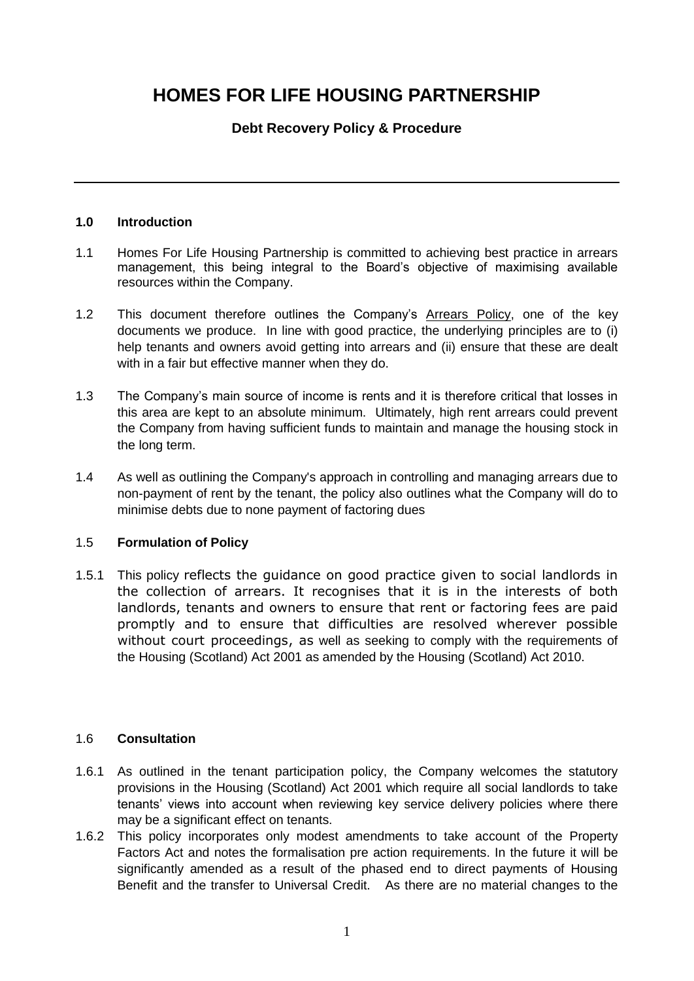# **HOMES FOR LIFE HOUSING PARTNERSHIP**

# **Debt Recovery Policy & Procedure**

## **1.0 Introduction**

- 1.1 Homes For Life Housing Partnership is committed to achieving best practice in arrears management, this being integral to the Board's objective of maximising available resources within the Company.
- 1.2 This document therefore outlines the Company's Arrears Policy, one of the key documents we produce. In line with good practice, the underlying principles are to (i) help tenants and owners avoid getting into arrears and (ii) ensure that these are dealt with in a fair but effective manner when they do.
- 1.3 The Company's main source of income is rents and it is therefore critical that losses in this area are kept to an absolute minimum. Ultimately, high rent arrears could prevent the Company from having sufficient funds to maintain and manage the housing stock in the long term.
- 1.4 As well as outlining the Company's approach in controlling and managing arrears due to non-payment of rent by the tenant, the policy also outlines what the Company will do to minimise debts due to none payment of factoring dues

### 1.5 **Formulation of Policy**

1.5.1 This policy reflects the guidance on good practice given to social landlords in the collection of arrears. It recognises that it is in the interests of both landlords, tenants and owners to ensure that rent or factoring fees are paid promptly and to ensure that difficulties are resolved wherever possible without court proceedings, as well as seeking to comply with the requirements of the Housing (Scotland) Act 2001 as amended by the Housing (Scotland) Act 2010.

## 1.6 **Consultation**

- 1.6.1 As outlined in the tenant participation policy, the Company welcomes the statutory provisions in the Housing (Scotland) Act 2001 which require all social landlords to take tenants' views into account when reviewing key service delivery policies where there may be a significant effect on tenants.
- 1.6.2 This policy incorporates only modest amendments to take account of the Property Factors Act and notes the formalisation pre action requirements. In the future it will be significantly amended as a result of the phased end to direct payments of Housing Benefit and the transfer to Universal Credit. As there are no material changes to the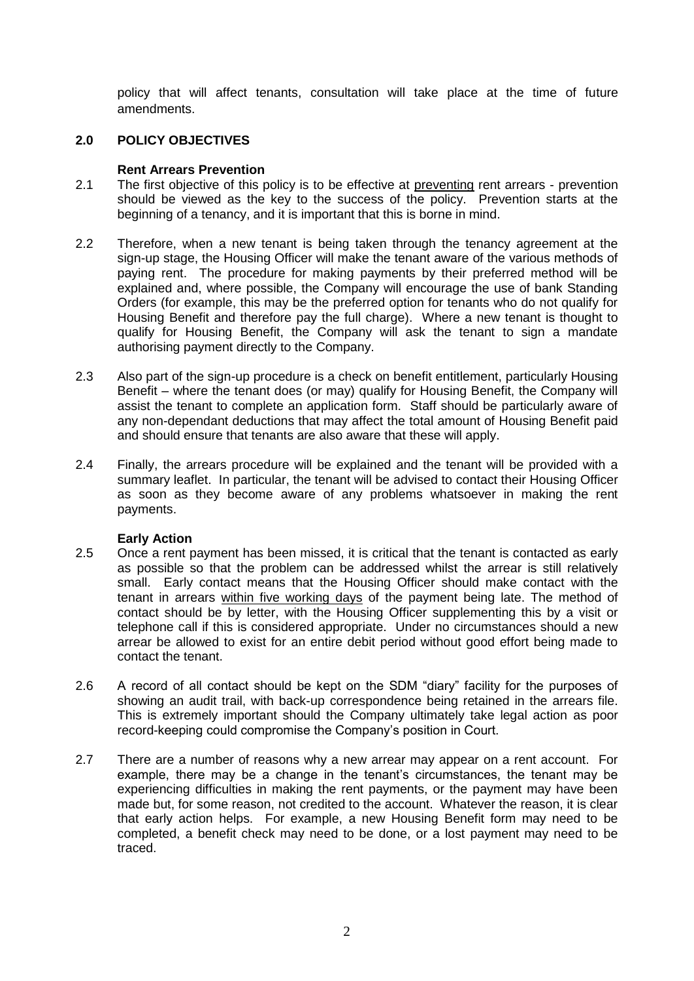policy that will affect tenants, consultation will take place at the time of future amendments.

## **2.0 POLICY OBJECTIVES**

### **Rent Arrears Prevention**

- 2.1 The first objective of this policy is to be effective at preventing rent arrears prevention should be viewed as the key to the success of the policy. Prevention starts at the beginning of a tenancy, and it is important that this is borne in mind.
- 2.2 Therefore, when a new tenant is being taken through the tenancy agreement at the sign-up stage, the Housing Officer will make the tenant aware of the various methods of paying rent. The procedure for making payments by their preferred method will be explained and, where possible, the Company will encourage the use of bank Standing Orders (for example, this may be the preferred option for tenants who do not qualify for Housing Benefit and therefore pay the full charge). Where a new tenant is thought to qualify for Housing Benefit, the Company will ask the tenant to sign a mandate authorising payment directly to the Company.
- 2.3 Also part of the sign-up procedure is a check on benefit entitlement, particularly Housing Benefit – where the tenant does (or may) qualify for Housing Benefit, the Company will assist the tenant to complete an application form. Staff should be particularly aware of any non-dependant deductions that may affect the total amount of Housing Benefit paid and should ensure that tenants are also aware that these will apply.
- 2.4 Finally, the arrears procedure will be explained and the tenant will be provided with a summary leaflet. In particular, the tenant will be advised to contact their Housing Officer as soon as they become aware of any problems whatsoever in making the rent payments.

### **Early Action**

- 2.5 Once a rent payment has been missed, it is critical that the tenant is contacted as early as possible so that the problem can be addressed whilst the arrear is still relatively small. Early contact means that the Housing Officer should make contact with the tenant in arrears within five working days of the payment being late. The method of contact should be by letter, with the Housing Officer supplementing this by a visit or telephone call if this is considered appropriate. Under no circumstances should a new arrear be allowed to exist for an entire debit period without good effort being made to contact the tenant.
- 2.6 A record of all contact should be kept on the SDM "diary" facility for the purposes of showing an audit trail, with back-up correspondence being retained in the arrears file. This is extremely important should the Company ultimately take legal action as poor record-keeping could compromise the Company's position in Court.
- 2.7 There are a number of reasons why a new arrear may appear on a rent account. For example, there may be a change in the tenant's circumstances, the tenant may be experiencing difficulties in making the rent payments, or the payment may have been made but, for some reason, not credited to the account. Whatever the reason, it is clear that early action helps. For example, a new Housing Benefit form may need to be completed, a benefit check may need to be done, or a lost payment may need to be traced.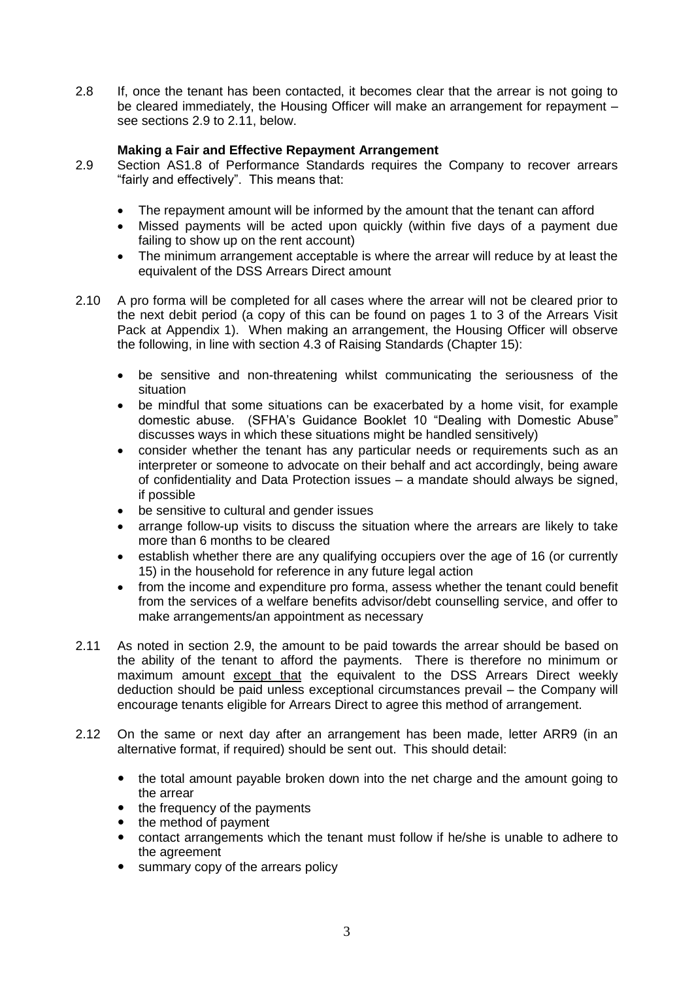2.8 If, once the tenant has been contacted, it becomes clear that the arrear is not going to be cleared immediately, the Housing Officer will make an arrangement for repayment – see sections 2.9 to 2.11, below.

## **Making a Fair and Effective Repayment Arrangement**

- 2.9 Section AS1.8 of Performance Standards requires the Company to recover arrears "fairly and effectively". This means that:
	- The repayment amount will be informed by the amount that the tenant can afford
	- Missed payments will be acted upon quickly (within five days of a payment due failing to show up on the rent account)
	- The minimum arrangement acceptable is where the arrear will reduce by at least the equivalent of the DSS Arrears Direct amount
- 2.10 A pro forma will be completed for all cases where the arrear will not be cleared prior to the next debit period (a copy of this can be found on pages 1 to 3 of the Arrears Visit Pack at Appendix 1). When making an arrangement, the Housing Officer will observe the following, in line with section 4.3 of Raising Standards (Chapter 15):
	- be sensitive and non-threatening whilst communicating the seriousness of the situation
	- be mindful that some situations can be exacerbated by a home visit, for example domestic abuse. (SFHA's Guidance Booklet 10 "Dealing with Domestic Abuse" discusses ways in which these situations might be handled sensitively)
	- consider whether the tenant has any particular needs or requirements such as an interpreter or someone to advocate on their behalf and act accordingly, being aware of confidentiality and Data Protection issues – a mandate should always be signed, if possible
	- be sensitive to cultural and gender issues
	- arrange follow-up visits to discuss the situation where the arrears are likely to take more than 6 months to be cleared
	- establish whether there are any qualifying occupiers over the age of 16 (or currently 15) in the household for reference in any future legal action
	- from the income and expenditure pro forma, assess whether the tenant could benefit from the services of a welfare benefits advisor/debt counselling service, and offer to make arrangements/an appointment as necessary
- 2.11 As noted in section 2.9, the amount to be paid towards the arrear should be based on the ability of the tenant to afford the payments. There is therefore no minimum or maximum amount except that the equivalent to the DSS Arrears Direct weekly deduction should be paid unless exceptional circumstances prevail – the Company will encourage tenants eligible for Arrears Direct to agree this method of arrangement.
- 2.12 On the same or next day after an arrangement has been made, letter ARR9 (in an alternative format, if required) should be sent out. This should detail:
	- the total amount payable broken down into the net charge and the amount going to the arrear
	- the frequency of the payments
	- the method of payment
	- contact arrangements which the tenant must follow if he/she is unable to adhere to the agreement
	- summary copy of the arrears policy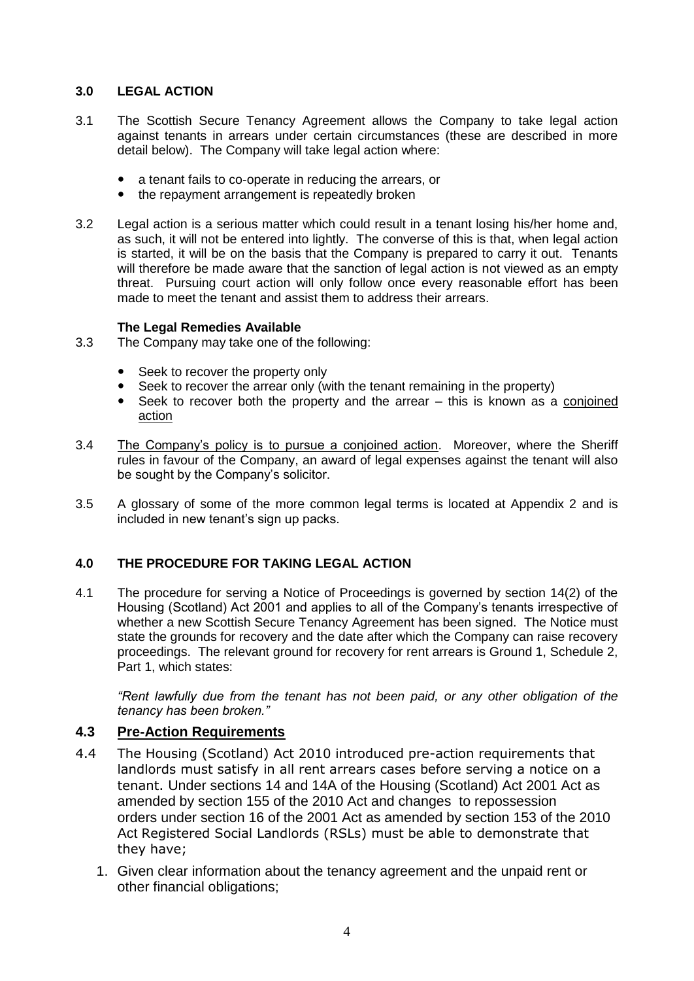## **3.0 LEGAL ACTION**

- 3.1 The Scottish Secure Tenancy Agreement allows the Company to take legal action against tenants in arrears under certain circumstances (these are described in more detail below). The Company will take legal action where:
	- a tenant fails to co-operate in reducing the arrears, or
	- the repayment arrangement is repeatedly broken
- 3.2 Legal action is a serious matter which could result in a tenant losing his/her home and, as such, it will not be entered into lightly. The converse of this is that, when legal action is started, it will be on the basis that the Company is prepared to carry it out. Tenants will therefore be made aware that the sanction of legal action is not viewed as an empty threat. Pursuing court action will only follow once every reasonable effort has been made to meet the tenant and assist them to address their arrears.

## **The Legal Remedies Available**

- 3.3 The Company may take one of the following:
	- Seek to recover the property only
	- Seek to recover the arrear only (with the tenant remaining in the property)
	- Seek to recover both the property and the arrear this is known as a conjoined action
- 3.4 The Company's policy is to pursue a conjoined action. Moreover, where the Sheriff rules in favour of the Company, an award of legal expenses against the tenant will also be sought by the Company's solicitor.
- 3.5 A glossary of some of the more common legal terms is located at Appendix 2 and is included in new tenant's sign up packs.

# **4.0 THE PROCEDURE FOR TAKING LEGAL ACTION**

4.1 The procedure for serving a Notice of Proceedings is governed by section 14(2) of the Housing (Scotland) Act 2001 and applies to all of the Company's tenants irrespective of whether a new Scottish Secure Tenancy Agreement has been signed. The Notice must state the grounds for recovery and the date after which the Company can raise recovery proceedings. The relevant ground for recovery for rent arrears is Ground 1, Schedule 2, Part 1, which states:

*"Rent lawfully due from the tenant has not been paid, or any other obligation of the tenancy has been broken."*

# **4.3 Pre-Action Requirements**

- 4.4 The Housing (Scotland) Act 2010 introduced pre-action requirements that landlords must satisfy in all rent arrears cases before serving a notice on a tenant. Under sections 14 and 14A of the Housing (Scotland) Act 2001 Act as amended by section 155 of the 2010 Act and changes to repossession orders under section 16 of the 2001 Act as amended by section 153 of the 2010 Act Registered Social Landlords (RSLs) must be able to demonstrate that they have;
	- 1. Given clear information about the tenancy agreement and the unpaid rent or other financial obligations;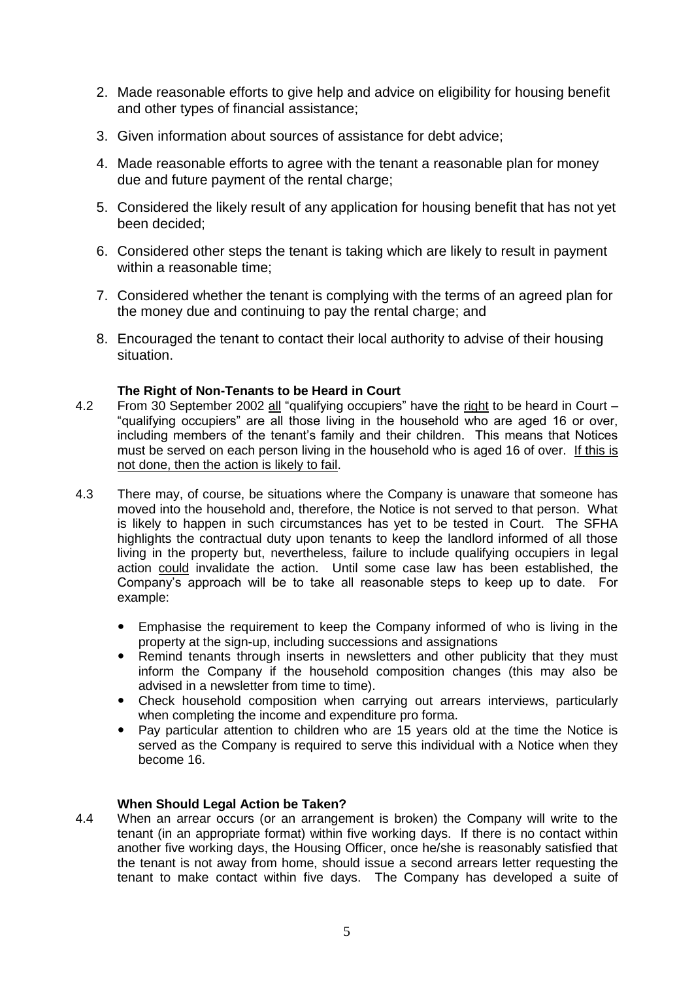- 2. Made reasonable efforts to give help and advice on eligibility for housing benefit and other types of financial assistance;
- 3. Given information about sources of assistance for debt advice;
- 4. Made reasonable efforts to agree with the tenant a reasonable plan for money due and future payment of the rental charge;
- 5. Considered the likely result of any application for housing benefit that has not yet been decided;
- 6. Considered other steps the tenant is taking which are likely to result in payment within a reasonable time;
- 7. Considered whether the tenant is complying with the terms of an agreed plan for the money due and continuing to pay the rental charge; and
- 8. Encouraged the tenant to contact their local authority to advise of their housing situation.

### **The Right of Non-Tenants to be Heard in Court**

- 4.2 From 30 September 2002 all "qualifying occupiers" have the right to be heard in Court "qualifying occupiers" are all those living in the household who are aged 16 or over, including members of the tenant's family and their children. This means that Notices must be served on each person living in the household who is aged 16 of over. If this is not done, then the action is likely to fail.
- 4.3 There may, of course, be situations where the Company is unaware that someone has moved into the household and, therefore, the Notice is not served to that person. What is likely to happen in such circumstances has yet to be tested in Court. The SFHA highlights the contractual duty upon tenants to keep the landlord informed of all those living in the property but, nevertheless, failure to include qualifying occupiers in legal action could invalidate the action. Until some case law has been established, the Company's approach will be to take all reasonable steps to keep up to date. For example:
	- Emphasise the requirement to keep the Company informed of who is living in the property at the sign-up, including successions and assignations
	- Remind tenants through inserts in newsletters and other publicity that they must inform the Company if the household composition changes (this may also be advised in a newsletter from time to time).
	- Check household composition when carrying out arrears interviews, particularly when completing the income and expenditure pro forma.
	- Pay particular attention to children who are 15 years old at the time the Notice is served as the Company is required to serve this individual with a Notice when they become 16.

#### **When Should Legal Action be Taken?**

4.4 When an arrear occurs (or an arrangement is broken) the Company will write to the tenant (in an appropriate format) within five working days. If there is no contact within another five working days, the Housing Officer, once he/she is reasonably satisfied that the tenant is not away from home, should issue a second arrears letter requesting the tenant to make contact within five days. The Company has developed a suite of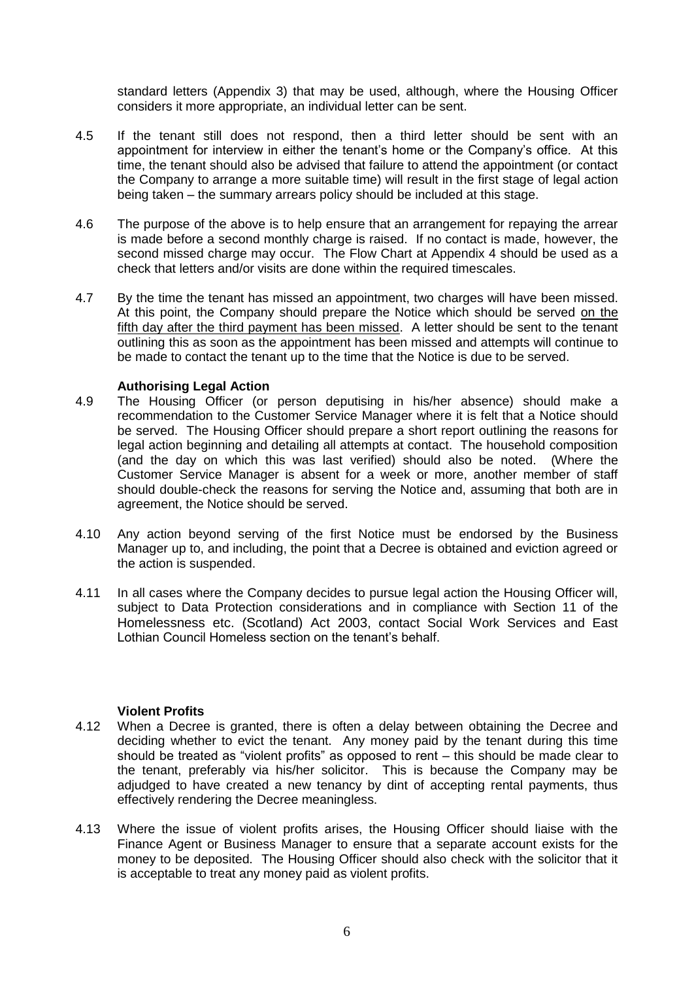standard letters (Appendix 3) that may be used, although, where the Housing Officer considers it more appropriate, an individual letter can be sent.

- 4.5 If the tenant still does not respond, then a third letter should be sent with an appointment for interview in either the tenant's home or the Company's office. At this time, the tenant should also be advised that failure to attend the appointment (or contact the Company to arrange a more suitable time) will result in the first stage of legal action being taken – the summary arrears policy should be included at this stage.
- 4.6 The purpose of the above is to help ensure that an arrangement for repaying the arrear is made before a second monthly charge is raised. If no contact is made, however, the second missed charge may occur. The Flow Chart at Appendix 4 should be used as a check that letters and/or visits are done within the required timescales.
- 4.7 By the time the tenant has missed an appointment, two charges will have been missed. At this point, the Company should prepare the Notice which should be served on the fifth day after the third payment has been missed. A letter should be sent to the tenant outlining this as soon as the appointment has been missed and attempts will continue to be made to contact the tenant up to the time that the Notice is due to be served.

### **Authorising Legal Action**

- 4.9 The Housing Officer (or person deputising in his/her absence) should make a recommendation to the Customer Service Manager where it is felt that a Notice should be served. The Housing Officer should prepare a short report outlining the reasons for legal action beginning and detailing all attempts at contact. The household composition (and the day on which this was last verified) should also be noted. (Where the Customer Service Manager is absent for a week or more, another member of staff should double-check the reasons for serving the Notice and, assuming that both are in agreement, the Notice should be served.
- 4.10 Any action beyond serving of the first Notice must be endorsed by the Business Manager up to, and including, the point that a Decree is obtained and eviction agreed or the action is suspended.
- 4.11 In all cases where the Company decides to pursue legal action the Housing Officer will, subject to Data Protection considerations and in compliance with Section 11 of the Homelessness etc. (Scotland) Act 2003, contact Social Work Services and East Lothian Council Homeless section on the tenant's behalf.

### **Violent Profits**

- 4.12 When a Decree is granted, there is often a delay between obtaining the Decree and deciding whether to evict the tenant. Any money paid by the tenant during this time should be treated as "violent profits" as opposed to rent – this should be made clear to the tenant, preferably via his/her solicitor. This is because the Company may be adjudged to have created a new tenancy by dint of accepting rental payments, thus effectively rendering the Decree meaningless.
- 4.13 Where the issue of violent profits arises, the Housing Officer should liaise with the Finance Agent or Business Manager to ensure that a separate account exists for the money to be deposited. The Housing Officer should also check with the solicitor that it is acceptable to treat any money paid as violent profits.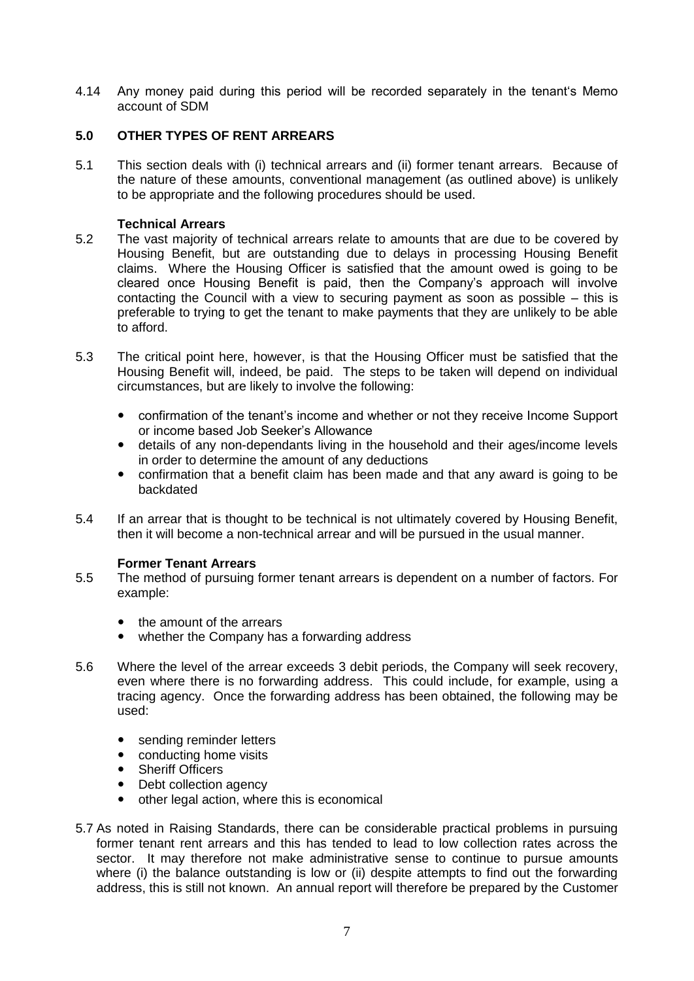4.14 Any money paid during this period will be recorded separately in the tenant's Memo account of SDM

## **5.0 OTHER TYPES OF RENT ARREARS**

5.1 This section deals with (i) technical arrears and (ii) former tenant arrears. Because of the nature of these amounts, conventional management (as outlined above) is unlikely to be appropriate and the following procedures should be used.

### **Technical Arrears**

- 5.2 The vast majority of technical arrears relate to amounts that are due to be covered by Housing Benefit, but are outstanding due to delays in processing Housing Benefit claims. Where the Housing Officer is satisfied that the amount owed is going to be cleared once Housing Benefit is paid, then the Company's approach will involve contacting the Council with a view to securing payment as soon as possible – this is preferable to trying to get the tenant to make payments that they are unlikely to be able to afford.
- 5.3 The critical point here, however, is that the Housing Officer must be satisfied that the Housing Benefit will, indeed, be paid. The steps to be taken will depend on individual circumstances, but are likely to involve the following:
	- confirmation of the tenant's income and whether or not they receive Income Support or income based Job Seeker's Allowance
	- details of any non-dependants living in the household and their ages/income levels in order to determine the amount of any deductions
	- confirmation that a benefit claim has been made and that any award is going to be backdated
- 5.4 If an arrear that is thought to be technical is not ultimately covered by Housing Benefit, then it will become a non-technical arrear and will be pursued in the usual manner.

#### **Former Tenant Arrears**

- 5.5 The method of pursuing former tenant arrears is dependent on a number of factors. For example:
	- the amount of the arrears
	- whether the Company has a forwarding address
- 5.6 Where the level of the arrear exceeds 3 debit periods, the Company will seek recovery, even where there is no forwarding address. This could include, for example, using a tracing agency. Once the forwarding address has been obtained, the following may be used:
	- sending reminder letters
	- conducting home visits
	- Sheriff Officers
	- Debt collection agency
	- other legal action, where this is economical
- 5.7 As noted in Raising Standards, there can be considerable practical problems in pursuing former tenant rent arrears and this has tended to lead to low collection rates across the sector. It may therefore not make administrative sense to continue to pursue amounts where (i) the balance outstanding is low or (ii) despite attempts to find out the forwarding address, this is still not known. An annual report will therefore be prepared by the Customer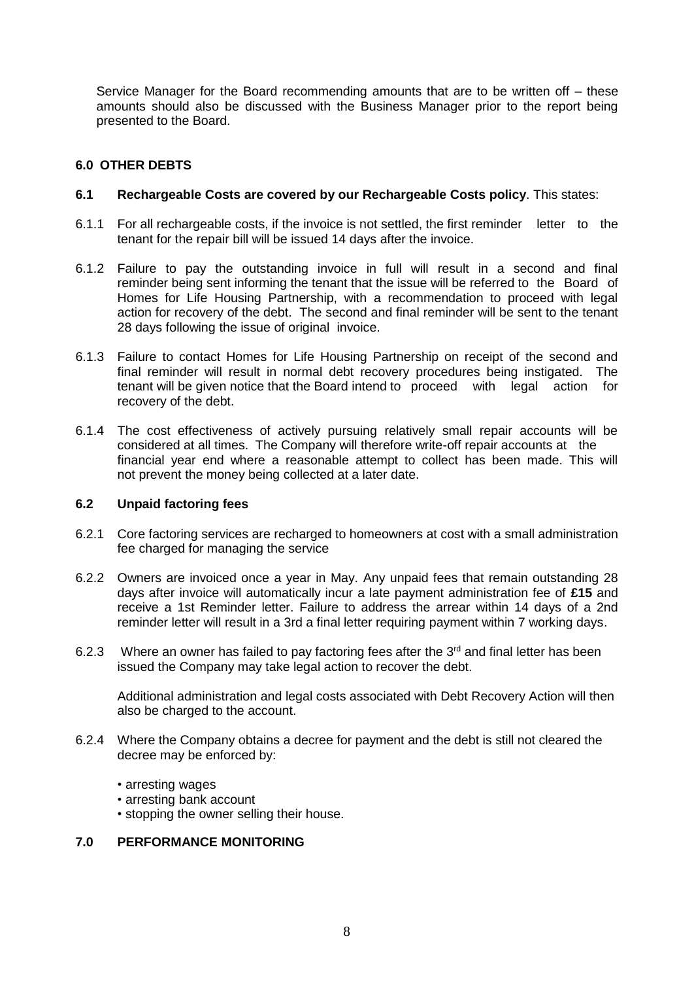Service Manager for the Board recommending amounts that are to be written off – these amounts should also be discussed with the Business Manager prior to the report being presented to the Board.

## **6.0 OTHER DEBTS**

#### **6.1 Rechargeable Costs are covered by our Rechargeable Costs policy**. This states:

- 6.1.1 For all rechargeable costs, if the invoice is not settled, the first reminder letter to the tenant for the repair bill will be issued 14 days after the invoice.
- 6.1.2 Failure to pay the outstanding invoice in full will result in a second and final reminder being sent informing the tenant that the issue will be referred to the Board of Homes for Life Housing Partnership, with a recommendation to proceed with legal action for recovery of the debt. The second and final reminder will be sent to the tenant 28 days following the issue of original invoice.
- 6.1.3 Failure to contact Homes for Life Housing Partnership on receipt of the second and final reminder will result in normal debt recovery procedures being instigated. The tenant will be given notice that the Board intend to proceed with legal action for recovery of the debt.
- 6.1.4 The cost effectiveness of actively pursuing relatively small repair accounts will be considered at all times. The Company will therefore write-off repair accounts at the financial year end where a reasonable attempt to collect has been made. This will not prevent the money being collected at a later date.

#### **6.2 Unpaid factoring fees**

- 6.2.1 Core factoring services are recharged to homeowners at cost with a small administration fee charged for managing the service
- 6.2.2 Owners are invoiced once a year in May. Any unpaid fees that remain outstanding 28 days after invoice will automatically incur a late payment administration fee of **£15** and receive a 1st Reminder letter. Failure to address the arrear within 14 days of a 2nd reminder letter will result in a 3rd a final letter requiring payment within 7 working days.
- 6.2.3 Where an owner has failed to pay factoring fees after the  $3<sup>rd</sup>$  and final letter has been issued the Company may take legal action to recover the debt.

Additional administration and legal costs associated with Debt Recovery Action will then also be charged to the account.

- 6.2.4 Where the Company obtains a decree for payment and the debt is still not cleared the decree may be enforced by:
	- arresting wages
	- arresting bank account
	- stopping the owner selling their house.

## **7.0 PERFORMANCE MONITORING**